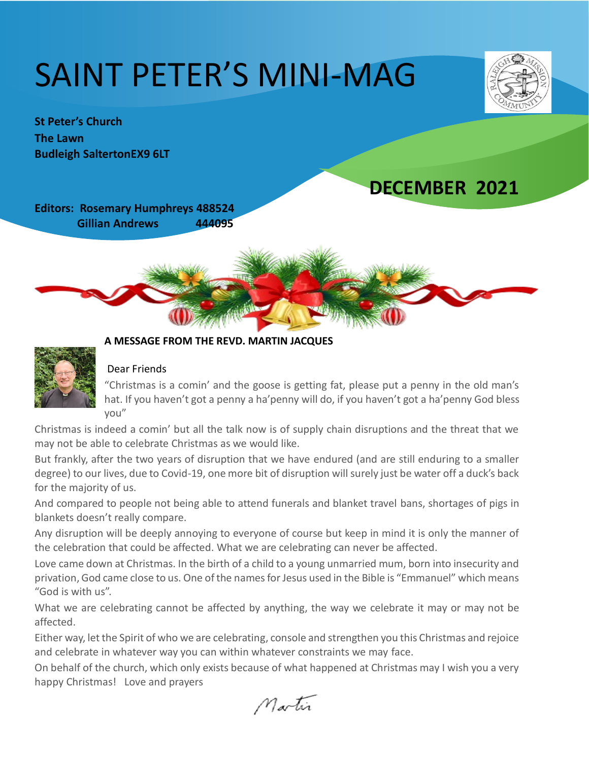# SAINT PETER'S MINI-MAG



**St Peter's Church The Lawn Budleigh SaltertonEX9 6LT** 

## **DECEMBER 2021**

**Editors: Rosemary Humphreys 488524 Gillian Andrews 444095**





#### **A MESSAGE FROM THE REVD. MARTIN JACQUES**

#### Dear Friends

"Christmas is a comin' and the goose is getting fat, please put a penny in the old man's hat. If you haven't got a penny a ha'penny will do, if you haven't got a ha'penny God bless you"

Christmas is indeed a comin' but all the talk now is of supply chain disruptions and the threat that we may not be able to celebrate Christmas as we would like.

But frankly, after the two years of disruption that we have endured (and are still enduring to a smaller degree) to our lives, due to Covid-19, one more bit of disruption will surely just be water off a duck's back for the majority of us.

And compared to people not being able to attend funerals and blanket travel bans, shortages of pigs in blankets doesn't really compare.

Any disruption will be deeply annoying to everyone of course but keep in mind it is only the manner of the celebration that could be affected. What we are celebrating can never be affected.

Love came down at Christmas. In the birth of a child to a young unmarried mum, born into insecurity and privation, God came close to us. One of the names for Jesus used in the Bible is "Emmanuel" which means "God is with us".

What we are celebrating cannot be affected by anything, the way we celebrate it may or may not be affected.

Either way, let the Spirit of who we are celebrating, console and strengthen you this Christmas and rejoice and celebrate in whatever way you can within whatever constraints we may face.

On behalf of the church, which only exists because of what happened at Christmas may I wish you a very happy Christmas! Love and prayers

Martin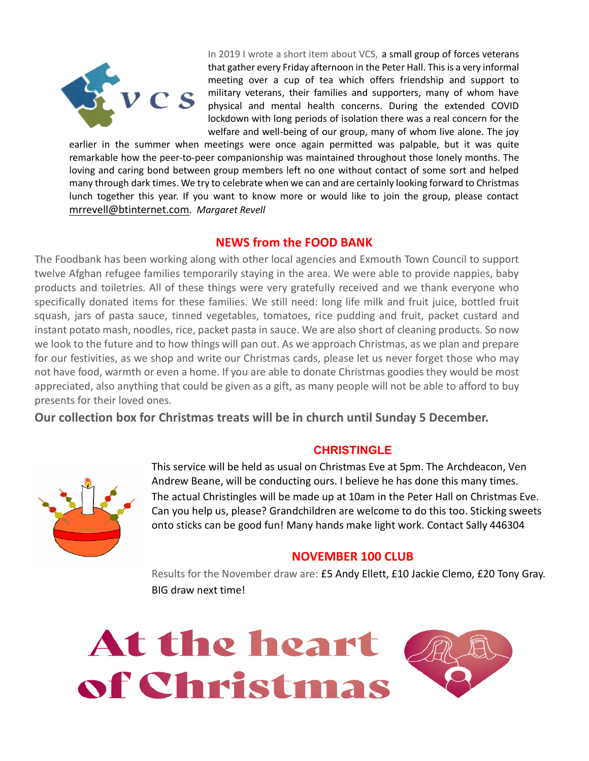

In 2019 I wrote a short item about VCS, a small group of forces veterans that gather every Friday afternoon in the Peter Hall. This is a very informal meeting over a cup of tea which offers friendship and support to military veterans, their families and supporters, many of whom have physical and mental health concerns. During the extended COVID lockdown with long periods of isolation there was a real concern for the welfare and well-being of our group, many of whom live alone. The joy

earlier in the summer when meetings were once again permitted was palpable, but it was quite remarkable how the peer-to-peer companionship was maintained throughout those lonely months. The loving and caring bond between group members left no one without contact of some sort and helped many through dark times. We try to celebrate when we can and are certainly looking forward to Christmas lunch together this year. If you want to know more or would like to join the group, please contact [mrrevell@btinternet.com](mailto:mrrevell@btinternet.com). *Margaret Revell*

#### **NEWS from the FOOD BANK**

The Foodbank has been working along with other local agencies and Exmouth Town Council to support twelve Afghan refugee families temporarily staying in the area. We were able to provide nappies, baby products and toiletries. All of these things were very gratefully received and we thank everyone who specifically donated items for these families. We still need: long life milk and fruit juice, bottled fruit squash, jars of pasta sauce, tinned vegetables, tomatoes, rice pudding and fruit, packet custard and instant potato mash, noodles, rice, packet pasta in sauce. We are also short of cleaning products. So now we look to the future and to how things will pan out. As we approach Christmas, as we plan and prepare for our festivities, as we shop and write our Christmas cards, please let us never forget those who may not have food, warmth or even a home. If you are able to donate Christmas goodies they would be most appreciated, also anything that could be given as a gift, as many people will not be able to afford to buy presents for their loved ones.

**Our collection box for Christmas treats will be in church until Sunday 5 December.**

#### **CHRISTINGLE**



This service will be held as usual on Christmas Eve at 5pm. The Archdeacon, Ven Andrew Beane, will be conducting ours. I believe he has done this many times. The actual Christingles will be made up at 10am in the Peter Hall on Christmas Eve. Can you help us, please? Grandchildren are welcome to do this too. Sticking sweets onto sticks can be good fun! Many hands make light work. Contact Sally 446304

#### **NOVEMBER 100 CLUB**

Results for the November draw are: £5 Andy Ellett, £10 Jackie Clemo, £20 Tony Gray. BIG draw next time!

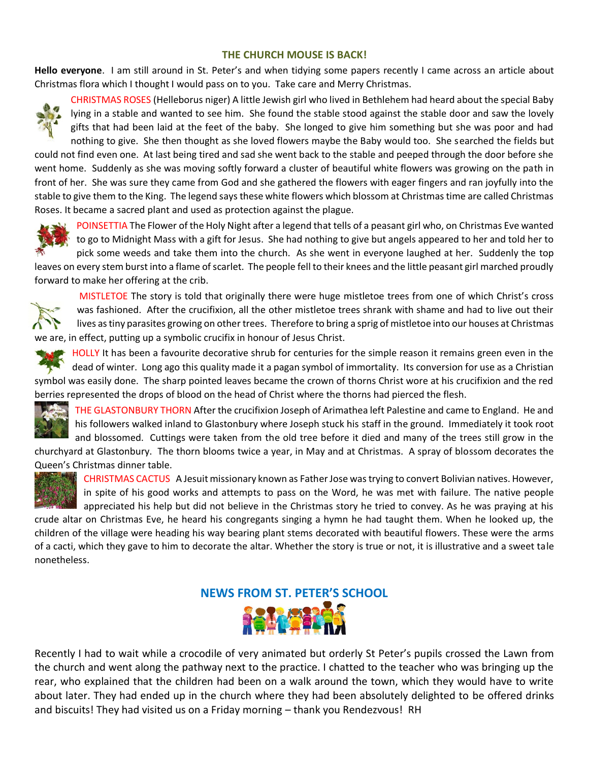#### **THE CHURCH MOUSE IS BACK!**

**Hello everyone**. I am still around in St. Peter's and when tidying some papers recently I came across an article about Christmas flora which I thought I would pass on to you. Take care and Merry Christmas.



CHRISTMAS ROSES (Helleborus niger) A little Jewish girl who lived in Bethlehem had heard about the special Baby lying in a stable and wanted to see him. She found the stable stood against the stable door and saw the lovely gifts that had been laid at the feet of the baby. She longed to give him something but she was poor and had nothing to give. She then thought as she loved flowers maybe the Baby would too. She searched the fields but

could not find even one. At last being tired and sad she went back to the stable and peeped through the door before she went home. Suddenly as she was moving softly forward a cluster of beautiful white flowers was growing on the path in front of her. She was sure they came from God and she gathered the flowers with eager fingers and ran joyfully into the stable to give them to the King. The legend says these white flowers which blossom at Christmas time are called Christmas Roses. It became a sacred plant and used as protection against the plague.



POINSETTIA The Flower of the Holy Night after a legend that tells of a peasant girl who, on Christmas Eve wanted to go to Midnight Mass with a gift for Jesus. She had nothing to give but angels appeared to her and told her to pick some weeds and take them into the church. As she went in everyone laughed at her. Suddenly the top leaves on every stem burst into a flame of scarlet. The people fell to their knees and the little peasant girl marched proudly

forward to make her offering at the crib.



MISTLETOE The story is told that originally there were huge mistletoe trees from one of which Christ's cross was fashioned. After the crucifixion, all the other mistletoe trees shrank with shame and had to live out their lives as tiny parasites growing on other trees. Therefore to bring a sprig of mistletoe into our houses at Christmas we are, in effect, putting up a symbolic crucifix in honour of Jesus Christ.

HOLLY It has been a favourite decorative shrub for centuries for the simple reason it remains green even in the dead of winter. Long ago this quality made it a pagan symbol of immortality. Its conversion for use as a Christian symbol was easily done. The sharp pointed leaves became the crown of thorns Christ wore at his crucifixion and the red berries represented the drops of blood on the head of Christ where the thorns had pierced the flesh.



THE GLASTONBURY THORN After the crucifixion Joseph of Arimathea left Palestine and came to England. He and his followers walked inland to Glastonbury where Joseph stuck his staff in the ground. Immediately it took root and blossomed. Cuttings were taken from the old tree before it died and many of the trees still grow in the

churchyard at Glastonbury. The thorn blooms twice a year, in May and at Christmas. A spray of blossom decorates the Queen's Christmas dinner table.



CHRISTMAS CACTUS A Jesuit missionary known as Father Jose was trying to convert Bolivian natives. However, in spite of his good works and attempts to pass on the Word, he was met with failure. The native people

appreciated his help but did not believe in the Christmas story he tried to convey. As he was praying at his crude altar on Christmas Eve, he heard his congregants singing a hymn he had taught them. When he looked up, the children of the village were heading his way bearing plant stems decorated with beautiful flowers. These were the arms of a cacti, which they gave to him to decorate the altar. Whether the story is true or not, it is illustrative and a sweet tale nonetheless.



Recently I had to wait while a crocodile of very animated but orderly St Peter's pupils crossed the Lawn from the church and went along the pathway next to the practice. I chatted to the teacher who was bringing up the rear, who explained that the children had been on a walk around the town, which they would have to write about later. They had ended up in the church where they had been absolutely delighted to be offered drinks and biscuits! They had visited us on a Friday morning – thank you Rendezvous! RH